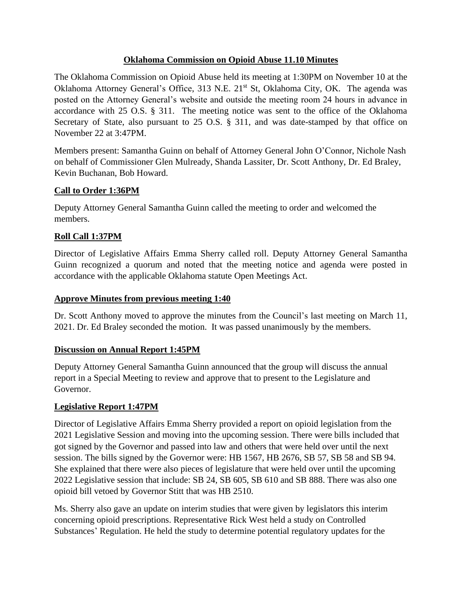### **Oklahoma Commission on Opioid Abuse 11.10 Minutes**

The Oklahoma Commission on Opioid Abuse held its meeting at 1:30PM on November 10 at the Oklahoma Attorney General's Office, 313 N.E. 21<sup>st</sup> St, Oklahoma City, OK. The agenda was posted on the Attorney General's website and outside the meeting room 24 hours in advance in accordance with 25 O.S. § 311. The meeting notice was sent to the office of the Oklahoma Secretary of State, also pursuant to 25 O.S. § 311, and was date-stamped by that office on November 22 at 3:47PM.

Members present: Samantha Guinn on behalf of Attorney General John O'Connor, Nichole Nash on behalf of Commissioner Glen Mulready, Shanda Lassiter, Dr. Scott Anthony, Dr. Ed Braley, Kevin Buchanan, Bob Howard.

## **Call to Order 1:36PM**

Deputy Attorney General Samantha Guinn called the meeting to order and welcomed the members.

# **Roll Call 1:37PM**

Director of Legislative Affairs Emma Sherry called roll. Deputy Attorney General Samantha Guinn recognized a quorum and noted that the meeting notice and agenda were posted in accordance with the applicable Oklahoma statute Open Meetings Act.

### **Approve Minutes from previous meeting 1:40**

Dr. Scott Anthony moved to approve the minutes from the Council's last meeting on March 11, 2021. Dr. Ed Braley seconded the motion. It was passed unanimously by the members.

## **Discussion on Annual Report 1:45PM**

Deputy Attorney General Samantha Guinn announced that the group will discuss the annual report in a Special Meeting to review and approve that to present to the Legislature and Governor.

## **Legislative Report 1:47PM**

Director of Legislative Affairs Emma Sherry provided a report on opioid legislation from the 2021 Legislative Session and moving into the upcoming session. There were bills included that got signed by the Governor and passed into law and others that were held over until the next session. The bills signed by the Governor were: HB 1567, HB 2676, SB 57, SB 58 and SB 94. She explained that there were also pieces of legislature that were held over until the upcoming 2022 Legislative session that include: SB 24, SB 605, SB 610 and SB 888. There was also one opioid bill vetoed by Governor Stitt that was HB 2510.

Ms. Sherry also gave an update on interim studies that were given by legislators this interim concerning opioid prescriptions. Representative Rick West held a study on Controlled Substances' Regulation. He held the study to determine potential regulatory updates for the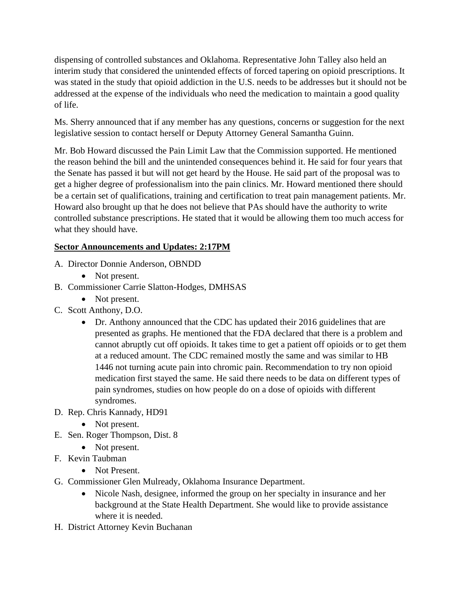dispensing of controlled substances and Oklahoma. Representative John Talley also held an interim study that considered the unintended effects of forced tapering on opioid prescriptions. It was stated in the study that opioid addiction in the U.S. needs to be addresses but it should not be addressed at the expense of the individuals who need the medication to maintain a good quality of life.

Ms. Sherry announced that if any member has any questions, concerns or suggestion for the next legislative session to contact herself or Deputy Attorney General Samantha Guinn.

Mr. Bob Howard discussed the Pain Limit Law that the Commission supported. He mentioned the reason behind the bill and the unintended consequences behind it. He said for four years that the Senate has passed it but will not get heard by the House. He said part of the proposal was to get a higher degree of professionalism into the pain clinics. Mr. Howard mentioned there should be a certain set of qualifications, training and certification to treat pain management patients. Mr. Howard also brought up that he does not believe that PAs should have the authority to write controlled substance prescriptions. He stated that it would be allowing them too much access for what they should have.

# **Sector Announcements and Updates: 2:17PM**

- A. Director Donnie Anderson, OBNDD
	- Not present.
- B. Commissioner Carrie Slatton-Hodges, DMHSAS
	- Not present.
- C. Scott Anthony, D.O.
	- Dr. Anthony announced that the CDC has updated their 2016 guidelines that are presented as graphs. He mentioned that the FDA declared that there is a problem and cannot abruptly cut off opioids. It takes time to get a patient off opioids or to get them at a reduced amount. The CDC remained mostly the same and was similar to HB 1446 not turning acute pain into chromic pain. Recommendation to try non opioid medication first stayed the same. He said there needs to be data on different types of pain syndromes, studies on how people do on a dose of opioids with different syndromes.
- D. Rep. Chris Kannady, HD91
	- Not present.
- E. Sen. Roger Thompson, Dist. 8
	- Not present.
- F. Kevin Taubman
	- Not Present.
- G. Commissioner Glen Mulready, Oklahoma Insurance Department.
	- Nicole Nash, designee, informed the group on her specialty in insurance and her background at the State Health Department. She would like to provide assistance where it is needed.
- H. District Attorney Kevin Buchanan